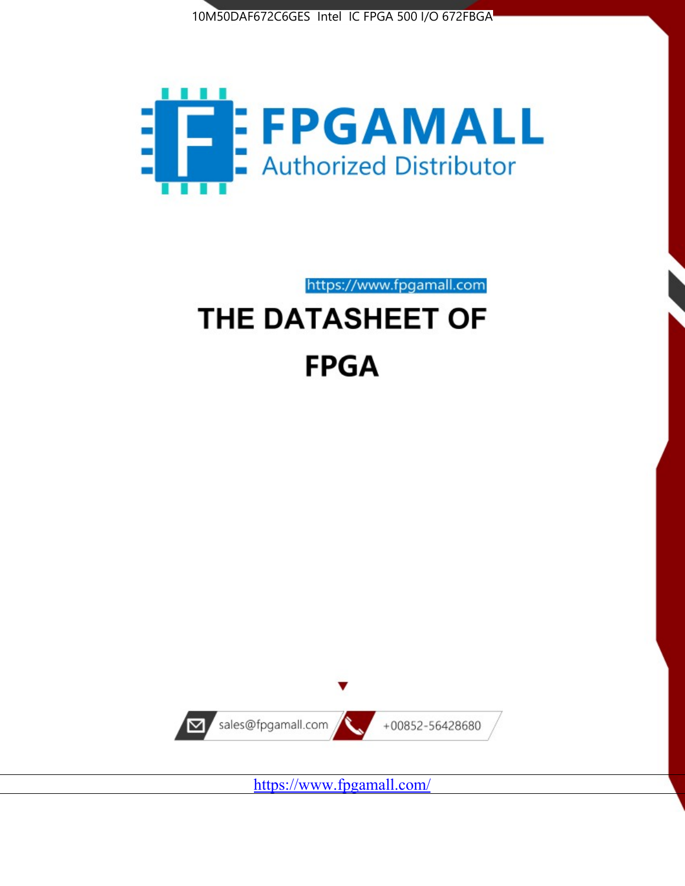



https://www.fpgamall.com

# THE DATASHEET OF **FPGA**



<https://www.fpgamall.com/>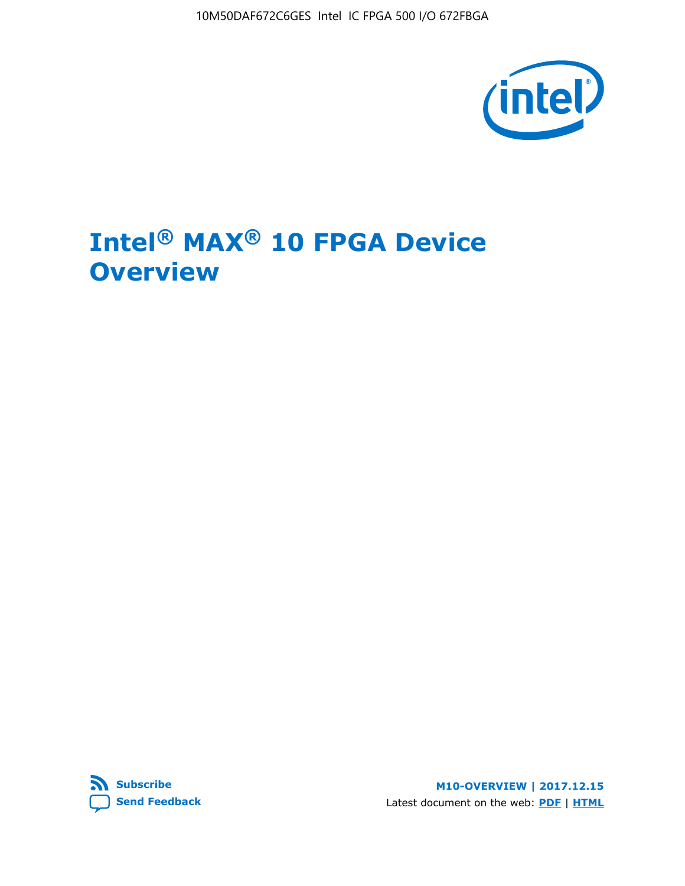10M50DAF672C6GES Intel IC FPGA 500 I/O 672FBGA



# **Intel® MAX® 10 FPGA Device Overview**



**M10-OVERVIEW | 2017.12.15** Latest document on the web: **[PDF](https://www.altera.com/en_US/pdfs/literature/hb/max-10/m10_overview.pdf)** | **[HTML](https://www.altera.com/documentation/myt1396938463674.html)**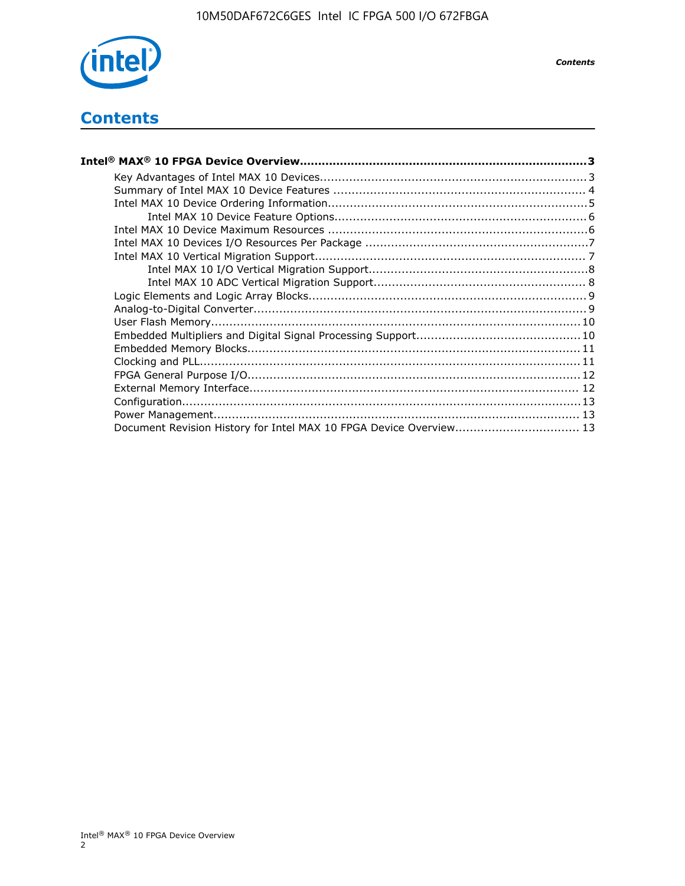

*Contents*

# **Contents**

| Intel® MAX® 10 FPGA Device Overview………………………………………………………………………………………3 |  |
|-----------------------------------------------------------------------|--|
|                                                                       |  |
|                                                                       |  |
|                                                                       |  |
|                                                                       |  |
|                                                                       |  |
|                                                                       |  |
|                                                                       |  |
|                                                                       |  |
|                                                                       |  |
|                                                                       |  |
|                                                                       |  |
|                                                                       |  |
|                                                                       |  |
|                                                                       |  |
|                                                                       |  |
|                                                                       |  |
|                                                                       |  |
|                                                                       |  |
|                                                                       |  |
| Document Revision History for Intel MAX 10 FPGA Device Overview 13    |  |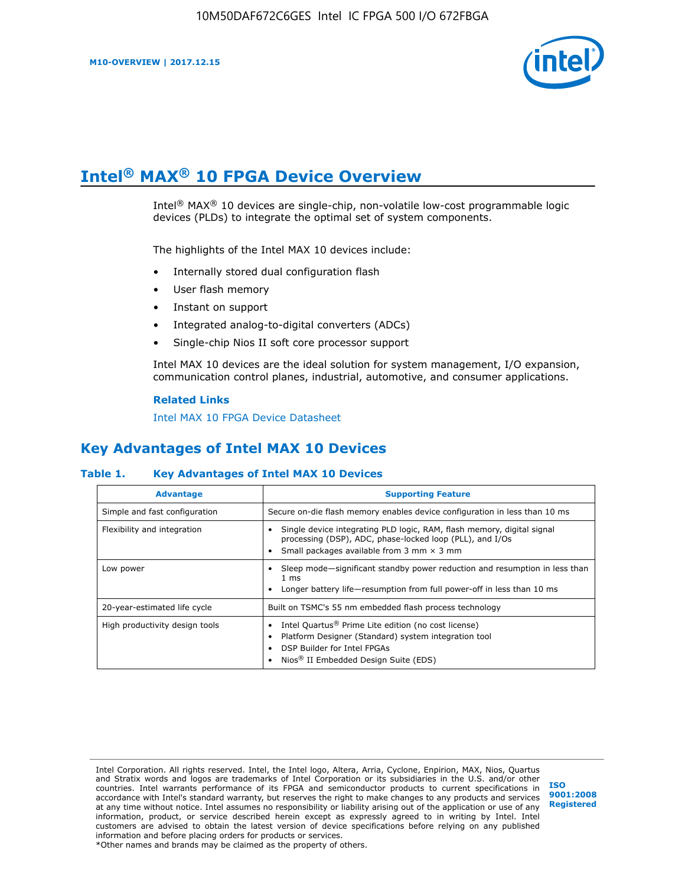

# **Intel® MAX® 10 FPGA Device Overview**

Intel® MAX® 10 devices are single-chip, non-volatile low-cost programmable logic devices (PLDs) to integrate the optimal set of system components.

The highlights of the Intel MAX 10 devices include:

- Internally stored dual configuration flash
- User flash memory
- Instant on support
- Integrated analog-to-digital converters (ADCs)
- Single-chip Nios II soft core processor support

Intel MAX 10 devices are the ideal solution for system management, I/O expansion, communication control planes, industrial, automotive, and consumer applications.

#### **Related Links**

[Intel MAX 10 FPGA Device Datasheet](https://www.altera.com/documentation/mcn1397700832153.html#mcn1397643748870)

## **Key Advantages of Intel MAX 10 Devices**

## **Table 1. Key Advantages of Intel MAX 10 Devices**

| <b>Advantage</b>               | <b>Supporting Feature</b>                                                                                                                                                                                  |  |  |  |
|--------------------------------|------------------------------------------------------------------------------------------------------------------------------------------------------------------------------------------------------------|--|--|--|
| Simple and fast configuration  | Secure on-die flash memory enables device configuration in less than 10 ms                                                                                                                                 |  |  |  |
| Flexibility and integration    | Single device integrating PLD logic, RAM, flash memory, digital signal<br>processing (DSP), ADC, phase-locked loop (PLL), and I/Os<br>Small packages available from 3 mm $\times$ 3 mm                     |  |  |  |
| Low power                      | Sleep mode—significant standby power reduction and resumption in less than<br>$1 \text{ ms}$<br>Longer battery life-resumption from full power-off in less than 10 ms                                      |  |  |  |
| 20-year-estimated life cycle   | Built on TSMC's 55 nm embedded flash process technology                                                                                                                                                    |  |  |  |
| High productivity design tools | Intel Quartus <sup>®</sup> Prime Lite edition (no cost license)<br>Platform Designer (Standard) system integration tool<br>DSP Builder for Intel FPGAs<br>Nios <sup>®</sup> II Embedded Design Suite (EDS) |  |  |  |

Intel Corporation. All rights reserved. Intel, the Intel logo, Altera, Arria, Cyclone, Enpirion, MAX, Nios, Quartus and Stratix words and logos are trademarks of Intel Corporation or its subsidiaries in the U.S. and/or other countries. Intel warrants performance of its FPGA and semiconductor products to current specifications in accordance with Intel's standard warranty, but reserves the right to make changes to any products and services at any time without notice. Intel assumes no responsibility or liability arising out of the application or use of any information, product, or service described herein except as expressly agreed to in writing by Intel. Intel customers are advised to obtain the latest version of device specifications before relying on any published information and before placing orders for products or services. \*Other names and brands may be claimed as the property of others.

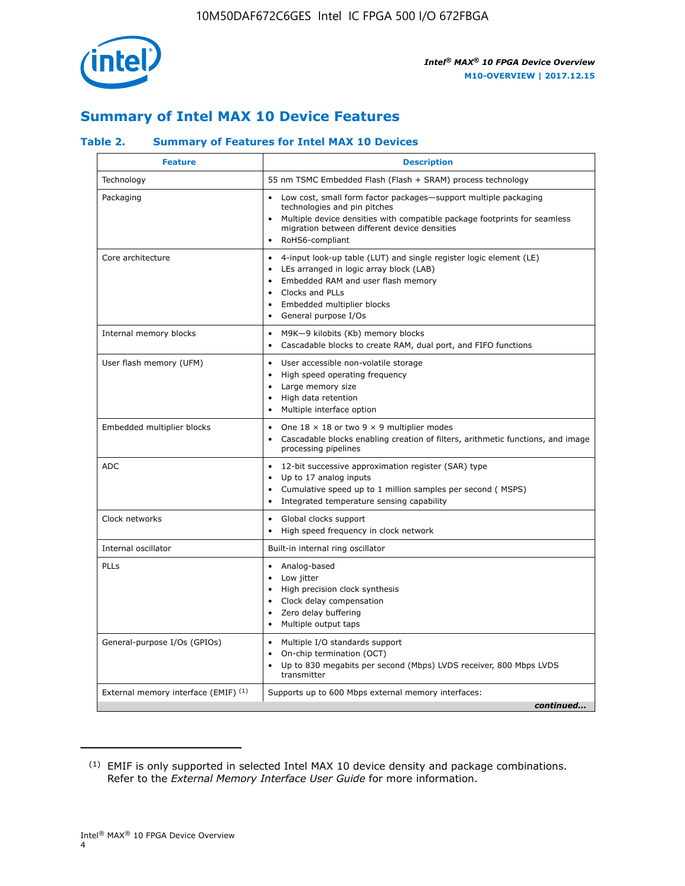

# **Summary of Intel MAX 10 Device Features**

## **Table 2. Summary of Features for Intel MAX 10 Devices**

| <b>Feature</b>                       | <b>Description</b>                                                                                                                                                                                                                                                               |
|--------------------------------------|----------------------------------------------------------------------------------------------------------------------------------------------------------------------------------------------------------------------------------------------------------------------------------|
| Technology                           | 55 nm TSMC Embedded Flash (Flash + SRAM) process technology                                                                                                                                                                                                                      |
| Packaging                            | Low cost, small form factor packages-support multiple packaging<br>technologies and pin pitches<br>Multiple device densities with compatible package footprints for seamless<br>migration between different device densities<br>RoHS6-compliant                                  |
| Core architecture                    | 4-input look-up table (LUT) and single register logic element (LE)<br>LEs arranged in logic array block (LAB)<br>$\bullet$<br>Embedded RAM and user flash memory<br>Clocks and PLLs<br>$\bullet$<br>Embedded multiplier blocks<br>$\bullet$<br>General purpose I/Os<br>$\bullet$ |
| Internal memory blocks               | M9K-9 kilobits (Kb) memory blocks<br>$\bullet$<br>Cascadable blocks to create RAM, dual port, and FIFO functions<br>$\bullet$                                                                                                                                                    |
| User flash memory (UFM)              | User accessible non-volatile storage<br>$\bullet$<br>High speed operating frequency<br>$\bullet$<br>Large memory size<br>High data retention<br>$\bullet$<br>Multiple interface option<br>$\bullet$                                                                              |
| Embedded multiplier blocks           | One $18 \times 18$ or two 9 $\times$ 9 multiplier modes<br>$\bullet$<br>Cascadable blocks enabling creation of filters, arithmetic functions, and image<br>processing pipelines                                                                                                  |
| <b>ADC</b>                           | 12-bit successive approximation register (SAR) type<br>$\bullet$<br>Up to 17 analog inputs<br>$\bullet$<br>Cumulative speed up to 1 million samples per second (MSPS)<br>Integrated temperature sensing capability                                                               |
| Clock networks                       | Global clocks support<br>$\bullet$<br>High speed frequency in clock network                                                                                                                                                                                                      |
| Internal oscillator                  | Built-in internal ring oscillator                                                                                                                                                                                                                                                |
| PLLs                                 | Analog-based<br>Low jitter<br>$\bullet$<br>High precision clock synthesis<br>Clock delay compensation<br>$\bullet$<br>Zero delay buffering<br>$\bullet$<br>Multiple output taps<br>٠                                                                                             |
| General-purpose I/Os (GPIOs)         | Multiple I/O standards support<br>$\bullet$<br>On-chip termination (OCT)<br>$\bullet$<br>Up to 830 megabits per second (Mbps) LVDS receiver, 800 Mbps LVDS<br>transmitter                                                                                                        |
| External memory interface (EMIF) (1) | Supports up to 600 Mbps external memory interfaces:<br>continued                                                                                                                                                                                                                 |

<sup>(1)</sup> EMIF is only supported in selected Intel MAX 10 device density and package combinations. Refer to the *External Memory Interface User Guide* for more information.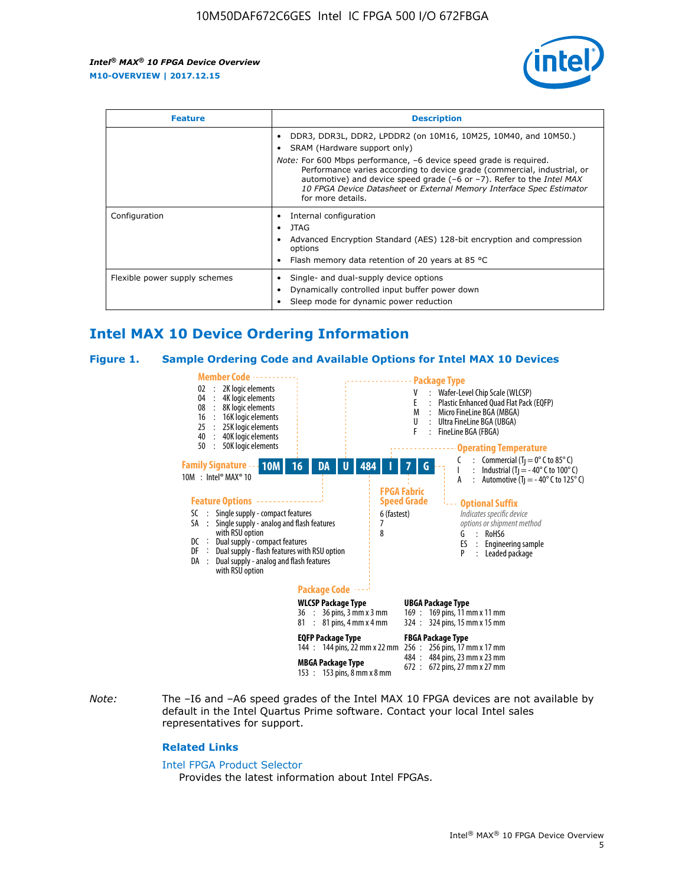

| <b>Feature</b>                | <b>Description</b>                                                                                                                                                                                                                                                                                                                                                                                                                               |  |  |  |
|-------------------------------|--------------------------------------------------------------------------------------------------------------------------------------------------------------------------------------------------------------------------------------------------------------------------------------------------------------------------------------------------------------------------------------------------------------------------------------------------|--|--|--|
|                               | DDR3, DDR3L, DDR2, LPDDR2 (on 10M16, 10M25, 10M40, and 10M50.)<br>SRAM (Hardware support only)<br><i>Note:</i> For 600 Mbps performance, -6 device speed grade is required.<br>Performance varies according to device grade (commercial, industrial, or<br>automotive) and device speed grade $(-6 \text{ or } -7)$ . Refer to the <i>Intel MAX</i><br>10 FPGA Device Datasheet or External Memory Interface Spec Estimator<br>for more details. |  |  |  |
| Configuration                 | Internal configuration<br>JTAG<br>٠<br>Advanced Encryption Standard (AES) 128-bit encryption and compression<br>options<br>Flash memory data retention of 20 years at 85 $^{\circ}$ C                                                                                                                                                                                                                                                            |  |  |  |
| Flexible power supply schemes | Single- and dual-supply device options<br>Dynamically controlled input buffer power down<br>Sleep mode for dynamic power reduction                                                                                                                                                                                                                                                                                                               |  |  |  |

# **Intel MAX 10 Device Ordering Information**

#### **Figure 1. Sample Ordering Code and Available Options for Intel MAX 10 Devices**



*Note:* The –I6 and –A6 speed grades of the Intel MAX 10 FPGA devices are not available by default in the Intel Quartus Prime software. Contact your local Intel sales representatives for support.

#### **Related Links**

#### [Intel FPGA Product Selector](http://www.altera.com/products/selector/psg-selector.html)

Provides the latest information about Intel FPGAs.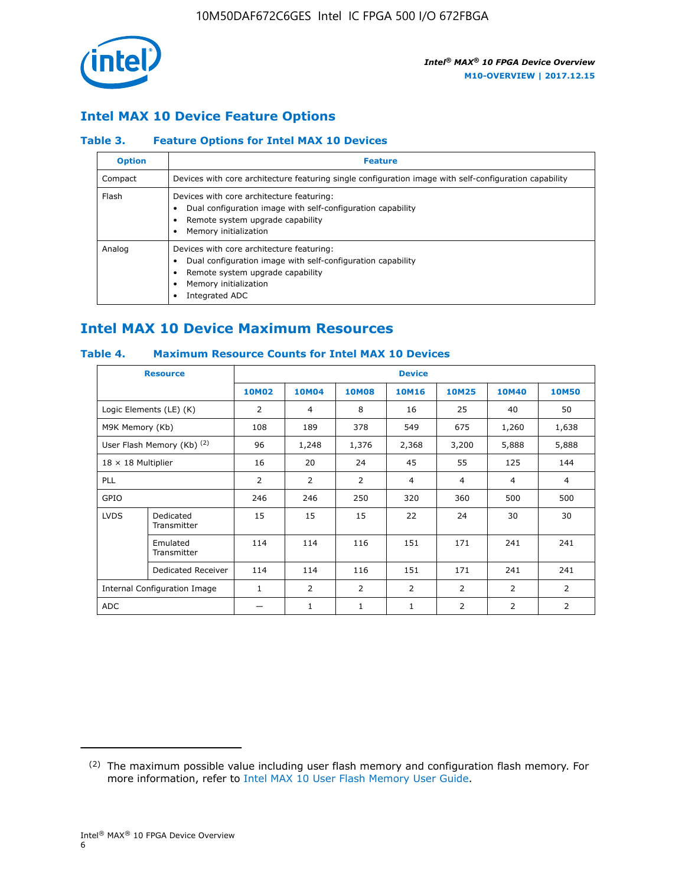

## **Intel MAX 10 Device Feature Options**

## **Table 3. Feature Options for Intel MAX 10 Devices**

| <b>Option</b> | <b>Feature</b>                                                                                                                                                                          |
|---------------|-----------------------------------------------------------------------------------------------------------------------------------------------------------------------------------------|
| Compact       | Devices with core architecture featuring single configuration image with self-configuration capability                                                                                  |
| Flash         | Devices with core architecture featuring:<br>Dual configuration image with self-configuration capability<br>Remote system upgrade capability<br>Memory initialization                   |
| Analog        | Devices with core architecture featuring:<br>Dual configuration image with self-configuration capability<br>Remote system upgrade capability<br>Memory initialization<br>Integrated ADC |

# **Intel MAX 10 Device Maximum Resources**

## **Table 4. Maximum Resource Counts for Intel MAX 10 Devices**

| <b>Resource</b>              |                            | <b>Device</b> |                |                |                |                |                |                |
|------------------------------|----------------------------|---------------|----------------|----------------|----------------|----------------|----------------|----------------|
|                              |                            | <b>10M02</b>  | 10M04          | <b>10M08</b>   | <b>10M16</b>   | <b>10M25</b>   | <b>10M40</b>   | <b>10M50</b>   |
|                              | Logic Elements (LE) (K)    | 2             | 4              | 8              | 16             | 25             | 40             | 50             |
| M9K Memory (Kb)              |                            | 108           | 189            | 378            | 549            | 675            | 1,260          | 1,638          |
|                              | User Flash Memory (Kb) (2) | 96            | 1,248          | 1,376          | 2,368          | 3,200          | 5,888          | 5,888          |
| $18 \times 18$ Multiplier    |                            | 16            | 20             | 24             | 45             | 55             | 125            | 144            |
| <b>PLL</b>                   |                            | 2             | $\overline{2}$ | $\overline{2}$ | $\overline{4}$ | $\overline{4}$ | 4              | $\overline{4}$ |
| GPIO                         |                            | 246           | 246            | 250            | 320            | 360            | 500            | 500            |
| <b>LVDS</b>                  | Dedicated<br>Transmitter   | 15            | 15             | 15             | 22             | 24             | 30             | 30             |
|                              | Emulated<br>Transmitter    | 114           | 114            | 116            | 151            | 171            | 241            | 241            |
|                              | Dedicated Receiver         | 114           | 114            | 116            | 151            | 171            | 241            | 241            |
| Internal Configuration Image |                            | $\mathbf{1}$  | $\overline{2}$ | $\overline{2}$ | $\overline{2}$ | 2              | $\overline{2}$ | $\overline{2}$ |
| <b>ADC</b>                   |                            |               | 1              | $\mathbf{1}$   | $\mathbf{1}$   | 2              | 2              | 2              |

<sup>(2)</sup> The maximum possible value including user flash memory and configuration flash memory. For more information, refer to [Intel MAX 10 User Flash Memory User Guide](https://www.altera.com/documentation/vgo1395753117436.html#vgo1395811844282).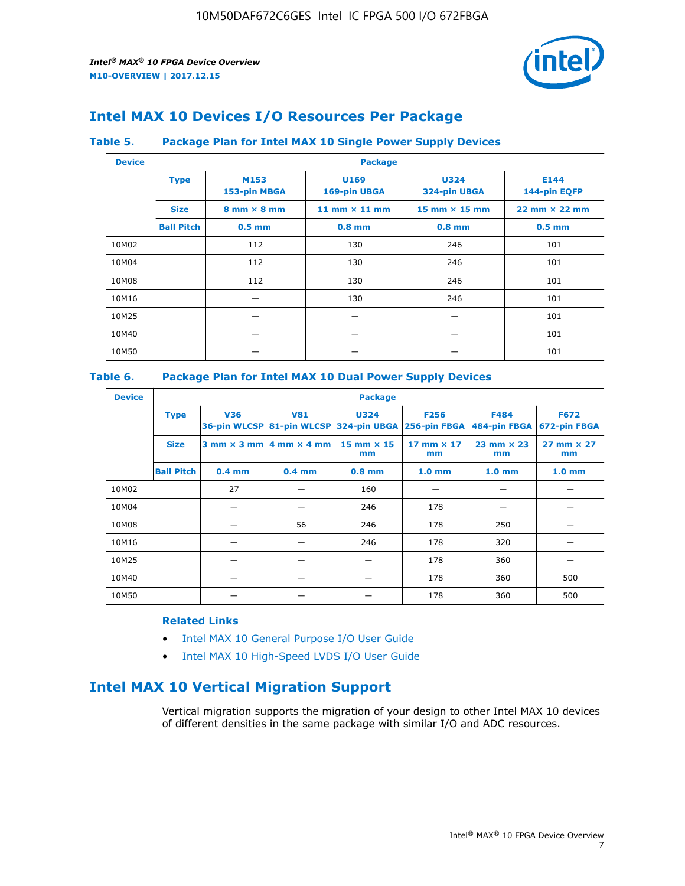

# **Intel MAX 10 Devices I/O Resources Per Package**

## **Table 5. Package Plan for Intel MAX 10 Single Power Supply Devices**

| <b>Device</b> |                   | <b>Package</b>                     |                      |                             |                                      |  |  |  |  |
|---------------|-------------------|------------------------------------|----------------------|-----------------------------|--------------------------------------|--|--|--|--|
|               | <b>Type</b>       | M153<br>153-pin MBGA               | U169<br>169-pin UBGA | <b>U324</b><br>324-pin UBGA | E144<br>144-pin EQFP                 |  |  |  |  |
|               | <b>Size</b>       | $8 \text{ mm} \times 8 \text{ mm}$ | 11 mm $\times$ 11 mm | $15$ mm $\times$ 15 mm      | $22 \text{ mm} \times 22 \text{ mm}$ |  |  |  |  |
|               | <b>Ball Pitch</b> | $0.5$ mm                           | $0.8$ mm             | $0.8$ mm                    | $0.5$ mm                             |  |  |  |  |
| 10M02         |                   | 112                                | 130                  | 246                         | 101                                  |  |  |  |  |
| 10M04         |                   | 112                                | 130                  | 246                         | 101                                  |  |  |  |  |
| 10M08         |                   | 112                                | 130                  | 246                         | 101                                  |  |  |  |  |
| 10M16         |                   |                                    | 130                  | 246                         | 101                                  |  |  |  |  |
| 10M25         |                   |                                    |                      |                             | 101                                  |  |  |  |  |
| 10M40         |                   |                                    |                      |                             | 101                                  |  |  |  |  |
| 10M50         |                   |                                    |                      |                             | 101                                  |  |  |  |  |

## **Table 6. Package Plan for Intel MAX 10 Dual Power Supply Devices**

| <b>Device</b> |                   | <b>Package</b> |                                            |                                                                    |                         |                           |                             |  |  |
|---------------|-------------------|----------------|--------------------------------------------|--------------------------------------------------------------------|-------------------------|---------------------------|-----------------------------|--|--|
|               | <b>Type</b>       | <b>V36</b>     | <b>V81</b>                                 | <b>U324</b><br>36-pin WLCSP 81-pin WLCSP 324-pin UBGA 256-pin FBGA | <b>F256</b>             | F484<br>484-pin FBGA      | <b>F672</b><br>672-pin FBGA |  |  |
|               | <b>Size</b>       |                | $3$ mm $\times$ 3 mm $ 4$ mm $\times$ 4 mm | $15$ mm $\times$ 15<br>mm                                          | 17 mm $\times$ 17<br>mm | $23$ mm $\times$ 23<br>mm | $27$ mm $\times$ 27<br>mm   |  |  |
|               | <b>Ball Pitch</b> | $0.4$ mm       | $0.4$ mm                                   | $0.8$ mm                                                           | 1.0 <sub>mm</sub>       | 1.0 <sub>mm</sub>         | 1.0 <sub>mm</sub>           |  |  |
| 10M02         |                   | 27             |                                            | 160                                                                |                         |                           |                             |  |  |
| 10M04         |                   |                |                                            | 246                                                                | 178                     |                           |                             |  |  |
| 10M08         |                   |                | 56                                         | 246                                                                | 178                     | 250                       |                             |  |  |
| 10M16         |                   |                |                                            | 246                                                                | 178                     | 320                       |                             |  |  |
| 10M25         |                   |                |                                            |                                                                    | 178                     | 360                       |                             |  |  |
| 10M40         |                   |                |                                            |                                                                    | 178                     | 360                       | 500                         |  |  |
| 10M50         |                   |                |                                            |                                                                    | 178                     | 360                       | 500                         |  |  |

## **Related Links**

- [Intel MAX 10 General Purpose I/O User Guide](https://www.altera.com/documentation/sam1393999966669.html#sam1394000084476)
- [Intel MAX 10 High-Speed LVDS I/O User Guide](https://www.altera.com/documentation/sam1394433606063.html#sam1394433911642)

# **Intel MAX 10 Vertical Migration Support**

Vertical migration supports the migration of your design to other Intel MAX 10 devices of different densities in the same package with similar I/O and ADC resources.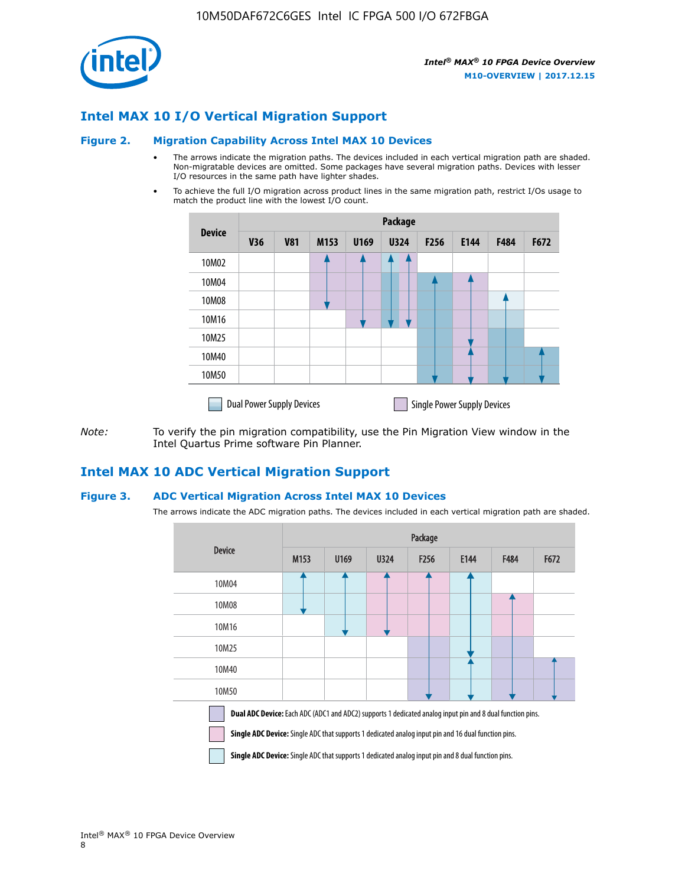

## **Intel MAX 10 I/O Vertical Migration Support**

#### **Figure 2. Migration Capability Across Intel MAX 10 Devices**

- The arrows indicate the migration paths. The devices included in each vertical migration path are shaded. Non-migratable devices are omitted. Some packages have several migration paths. Devices with lesser I/O resources in the same path have lighter shades.
- To achieve the full I/O migration across product lines in the same migration path, restrict I/Os usage to match the product line with the lowest I/O count.

|               | <b>Package</b>                   |            |      |      |             |      |                                    |      |      |  |
|---------------|----------------------------------|------------|------|------|-------------|------|------------------------------------|------|------|--|
| <b>Device</b> | <b>V36</b>                       | <b>V81</b> | M153 | U169 | <b>U324</b> | F256 | E144                               | F484 | F672 |  |
| 10M02         |                                  |            |      |      | 7           |      |                                    |      |      |  |
| 10M04         |                                  |            |      |      |             |      |                                    |      |      |  |
| 10M08         |                                  |            |      |      |             |      |                                    |      |      |  |
| 10M16         |                                  |            |      |      |             |      |                                    |      |      |  |
| 10M25         |                                  |            |      |      |             |      |                                    |      |      |  |
| 10M40         |                                  |            |      |      |             |      |                                    |      |      |  |
| 10M50         |                                  |            |      |      |             |      |                                    |      |      |  |
|               | <b>Dual Power Supply Devices</b> |            |      |      |             |      | <b>Single Power Supply Devices</b> |      |      |  |

*Note:* To verify the pin migration compatibility, use the Pin Migration View window in the Intel Quartus Prime software Pin Planner.

## **Intel MAX 10 ADC Vertical Migration Support**

#### **Figure 3. ADC Vertical Migration Across Intel MAX 10 Devices**

The arrows indicate the ADC migration paths. The devices included in each vertical migration path are shaded.

|                                                                                                                                                                                                                         | Package |      |      |                  |      |      |      |  |  |
|-------------------------------------------------------------------------------------------------------------------------------------------------------------------------------------------------------------------------|---------|------|------|------------------|------|------|------|--|--|
| <b>Device</b>                                                                                                                                                                                                           | M153    | U169 | U324 | F <sub>256</sub> | E144 | F484 | F672 |  |  |
| 10M04                                                                                                                                                                                                                   |         |      |      |                  |      |      |      |  |  |
| 10M08                                                                                                                                                                                                                   |         |      |      |                  |      |      |      |  |  |
| 10M16                                                                                                                                                                                                                   |         |      |      |                  |      |      |      |  |  |
| 10M25                                                                                                                                                                                                                   |         |      |      |                  |      |      |      |  |  |
| 10M40                                                                                                                                                                                                                   |         |      |      |                  |      |      |      |  |  |
| 10M50                                                                                                                                                                                                                   |         |      |      |                  |      |      |      |  |  |
| Dual ADC Device: Each ADC (ADC1 and ADC2) supports 1 dedicated analog input pin and 8 dual function pins.<br><b>Single ADC Device:</b> Single ADC that supports 1 dedicated analog input pin and 16 dual function pins. |         |      |      |                  |      |      |      |  |  |

**Single ADC Device:** Single ADC that supports 1 dedicated analog input pin and 8 dual function pins.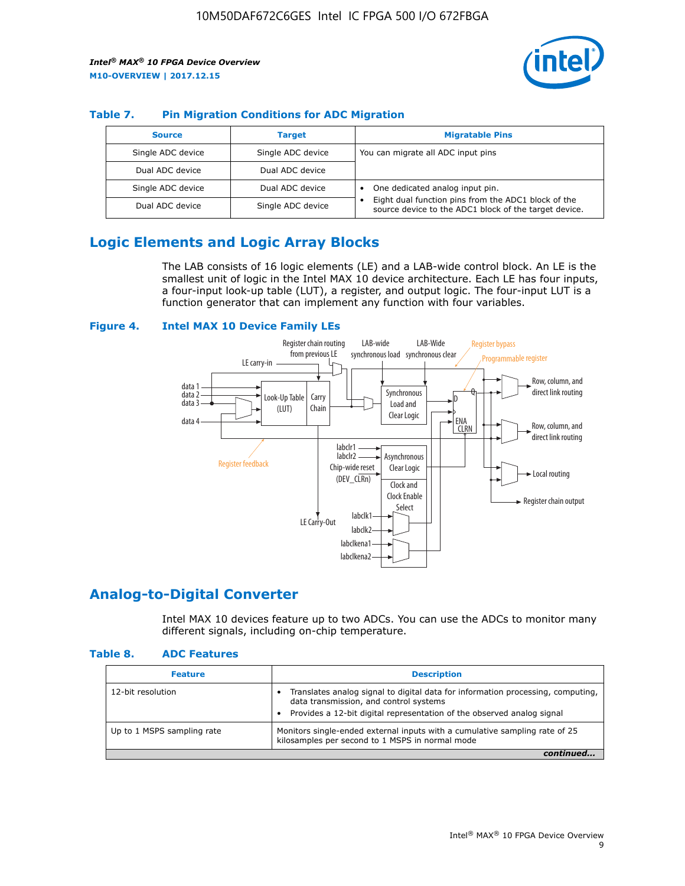

## **Table 7. Pin Migration Conditions for ADC Migration**

| <b>Source</b>     | <b>Target</b>     | <b>Migratable Pins</b>                                                                                            |
|-------------------|-------------------|-------------------------------------------------------------------------------------------------------------------|
| Single ADC device | Single ADC device | You can migrate all ADC input pins                                                                                |
| Dual ADC device   | Dual ADC device   |                                                                                                                   |
| Single ADC device | Dual ADC device   | One dedicated analog input pin.                                                                                   |
| Dual ADC device   | Single ADC device | Eight dual function pins from the ADC1 block of the<br>٠<br>source device to the ADC1 block of the target device. |

# **Logic Elements and Logic Array Blocks**

The LAB consists of 16 logic elements (LE) and a LAB-wide control block. An LE is the smallest unit of logic in the Intel MAX 10 device architecture. Each LE has four inputs, a four-input look-up table (LUT), a register, and output logic. The four-input LUT is a function generator that can implement any function with four variables.

#### **Figure 4. Intel MAX 10 Device Family LEs**



## **Analog-to-Digital Converter**

Intel MAX 10 devices feature up to two ADCs. You can use the ADCs to monitor many different signals, including on-chip temperature.

#### **Table 8. ADC Features**

| <b>Feature</b>             | <b>Description</b>                                                                                                                                                                                  |
|----------------------------|-----------------------------------------------------------------------------------------------------------------------------------------------------------------------------------------------------|
| 12-bit resolution          | Translates analog signal to digital data for information processing, computing,<br>data transmission, and control systems<br>Provides a 12-bit digital representation of the observed analog signal |
| Up to 1 MSPS sampling rate | Monitors single-ended external inputs with a cumulative sampling rate of 25<br>kilosamples per second to 1 MSPS in normal mode                                                                      |
|                            |                                                                                                                                                                                                     |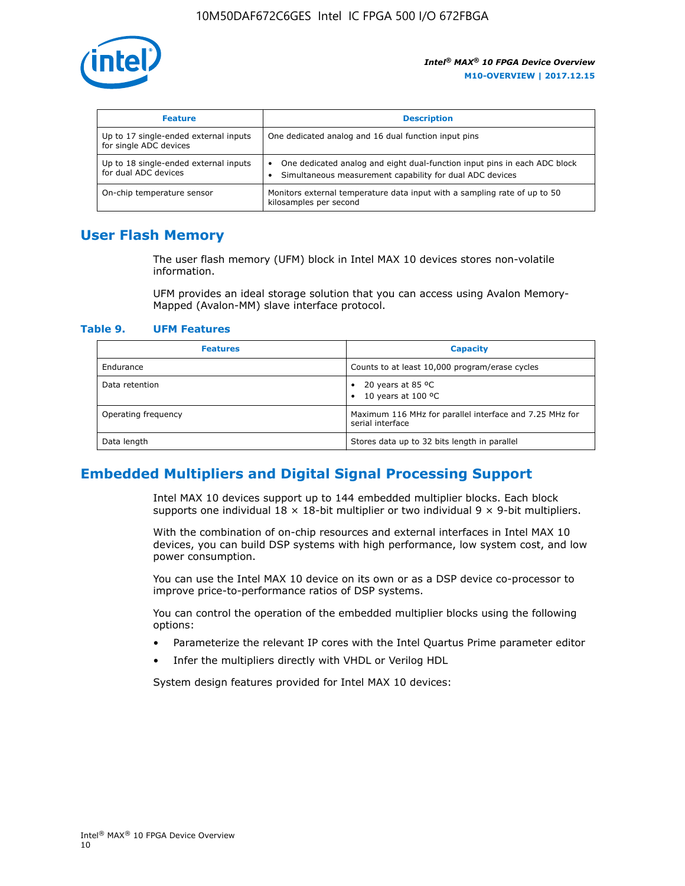

| <b>Feature</b>                                                  | <b>Description</b>                                                                                                                         |
|-----------------------------------------------------------------|--------------------------------------------------------------------------------------------------------------------------------------------|
| Up to 17 single-ended external inputs<br>for single ADC devices | One dedicated analog and 16 dual function input pins                                                                                       |
| Up to 18 single-ended external inputs<br>for dual ADC devices   | One dedicated analog and eight dual-function input pins in each ADC block<br>٠<br>Simultaneous measurement capability for dual ADC devices |
| On-chip temperature sensor                                      | Monitors external temperature data input with a sampling rate of up to 50<br>kilosamples per second                                        |

## **User Flash Memory**

The user flash memory (UFM) block in Intel MAX 10 devices stores non-volatile information.

UFM provides an ideal storage solution that you can access using Avalon Memory-Mapped (Avalon-MM) slave interface protocol.

#### **Table 9. UFM Features**

| <b>Features</b>     | <b>Capacity</b>                                                             |
|---------------------|-----------------------------------------------------------------------------|
| Endurance           | Counts to at least 10,000 program/erase cycles                              |
| Data retention      | 20 years at 85 °C<br>٠<br>10 years at 100 °C<br>$\bullet$                   |
| Operating frequency | Maximum 116 MHz for parallel interface and 7.25 MHz for<br>serial interface |
| Data length         | Stores data up to 32 bits length in parallel                                |

## **Embedded Multipliers and Digital Signal Processing Support**

Intel MAX 10 devices support up to 144 embedded multiplier blocks. Each block supports one individual  $18 \times 18$ -bit multiplier or two individual  $9 \times 9$ -bit multipliers.

With the combination of on-chip resources and external interfaces in Intel MAX 10 devices, you can build DSP systems with high performance, low system cost, and low power consumption.

You can use the Intel MAX 10 device on its own or as a DSP device co-processor to improve price-to-performance ratios of DSP systems.

You can control the operation of the embedded multiplier blocks using the following options:

- Parameterize the relevant IP cores with the Intel Quartus Prime parameter editor
- Infer the multipliers directly with VHDL or Verilog HDL

System design features provided for Intel MAX 10 devices: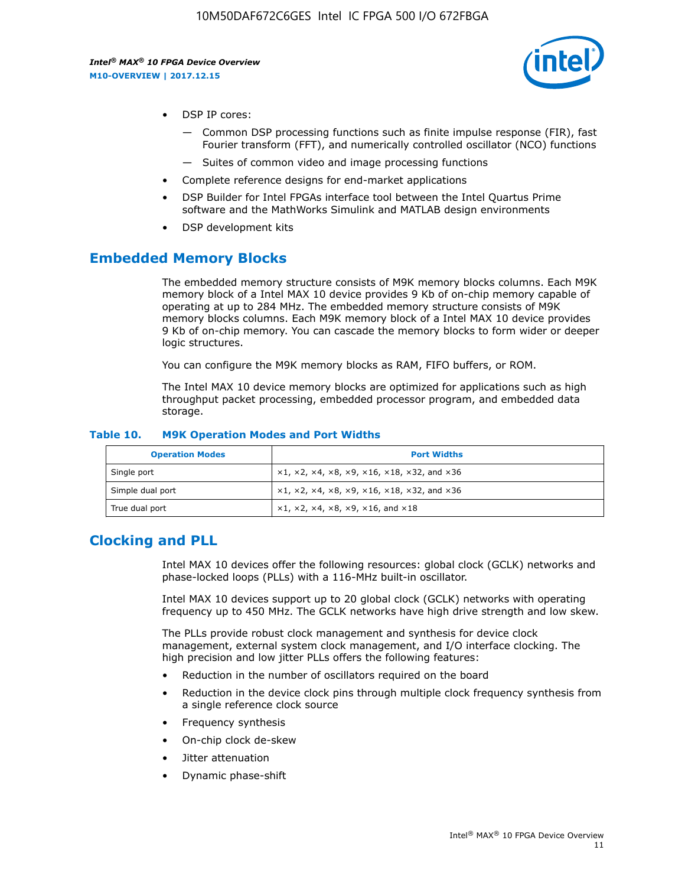

- DSP IP cores:
	- Common DSP processing functions such as finite impulse response (FIR), fast Fourier transform (FFT), and numerically controlled oscillator (NCO) functions
	- Suites of common video and image processing functions
- Complete reference designs for end-market applications
- DSP Builder for Intel FPGAs interface tool between the Intel Quartus Prime software and the MathWorks Simulink and MATLAB design environments
- DSP development kits

## **Embedded Memory Blocks**

The embedded memory structure consists of M9K memory blocks columns. Each M9K memory block of a Intel MAX 10 device provides 9 Kb of on-chip memory capable of operating at up to 284 MHz. The embedded memory structure consists of M9K memory blocks columns. Each M9K memory block of a Intel MAX 10 device provides 9 Kb of on-chip memory. You can cascade the memory blocks to form wider or deeper logic structures.

You can configure the M9K memory blocks as RAM, FIFO buffers, or ROM.

The Intel MAX 10 device memory blocks are optimized for applications such as high throughput packet processing, embedded processor program, and embedded data storage.

| <b>Operation Modes</b> | <b>Port Widths</b>                                                            |
|------------------------|-------------------------------------------------------------------------------|
| Single port            | $x1, x2, x4, x8, x9, x16, x18, x32, and x36$                                  |
| Simple dual port       | $x1, x2, x4, x8, x9, x16, x18, x32, and x36$                                  |
| True dual port         | $\times1, \times2, \times4, \times8, \times9, \times16, \text{and } \times18$ |

#### **Table 10. M9K Operation Modes and Port Widths**

# **Clocking and PLL**

Intel MAX 10 devices offer the following resources: global clock (GCLK) networks and phase-locked loops (PLLs) with a 116-MHz built-in oscillator.

Intel MAX 10 devices support up to 20 global clock (GCLK) networks with operating frequency up to 450 MHz. The GCLK networks have high drive strength and low skew.

The PLLs provide robust clock management and synthesis for device clock management, external system clock management, and I/O interface clocking. The high precision and low jitter PLLs offers the following features:

- Reduction in the number of oscillators required on the board
- Reduction in the device clock pins through multiple clock frequency synthesis from a single reference clock source
- Frequency synthesis
- On-chip clock de-skew
- Jitter attenuation
- Dynamic phase-shift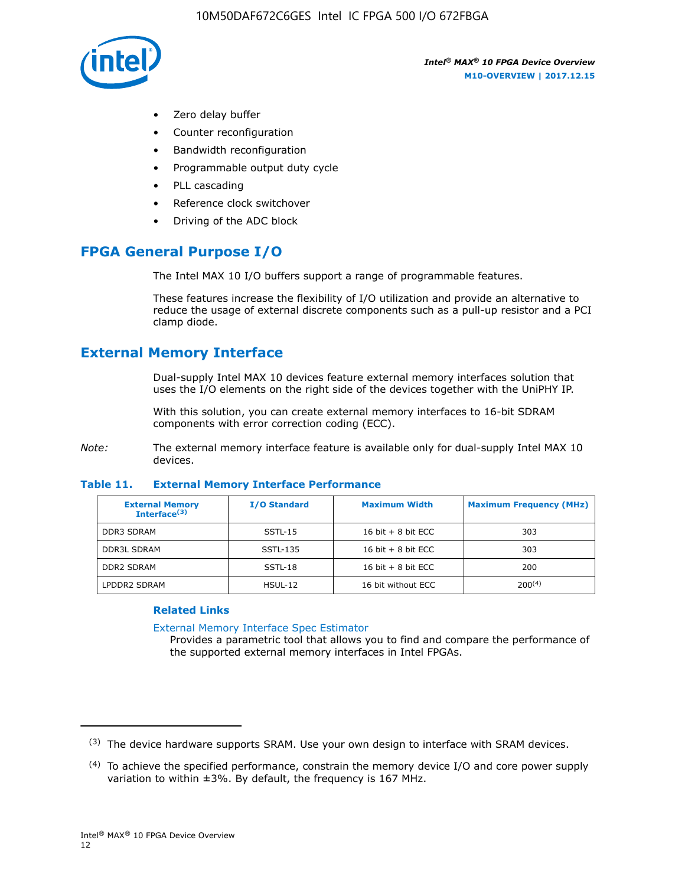

- Zero delay buffer
- Counter reconfiguration
- Bandwidth reconfiguration
- Programmable output duty cycle
- PLL cascading
- Reference clock switchover
- Driving of the ADC block

# **FPGA General Purpose I/O**

The Intel MAX 10 I/O buffers support a range of programmable features.

These features increase the flexibility of I/O utilization and provide an alternative to reduce the usage of external discrete components such as a pull-up resistor and a PCI clamp diode.

# **External Memory Interface**

Dual-supply Intel MAX 10 devices feature external memory interfaces solution that uses the I/O elements on the right side of the devices together with the UniPHY IP.

With this solution, you can create external memory interfaces to 16-bit SDRAM components with error correction coding (ECC).

*Note:* The external memory interface feature is available only for dual-supply Intel MAX 10 devices.

#### **Table 11. External Memory Interface Performance**

| <b>External Memory</b><br>Interface $(3)$ | <b>I/O Standard</b> | <b>Maximum Width</b> | <b>Maximum Frequency (MHz)</b> |
|-------------------------------------------|---------------------|----------------------|--------------------------------|
| <b>DDR3 SDRAM</b>                         | SSTL-15             | 16 bit $+8$ bit ECC  | 303                            |
| <b>DDR3L SDRAM</b>                        | SSTL-135            | 16 bit $+8$ bit ECC  | 303                            |
| <b>DDR2 SDRAM</b>                         | SSTL-18             | 16 bit $+8$ bit ECC  | 200                            |
| LPDDR2 SDRAM                              | $H$ SUL-12          | 16 bit without ECC   | $200^{(4)}$                    |

## **Related Links**

[External Memory Interface Spec Estimator](http://www.altera.com/technology/memory/estimator/mem-emif-index.html)

Provides a parametric tool that allows you to find and compare the performance of the supported external memory interfaces in Intel FPGAs.

 $(3)$  The device hardware supports SRAM. Use your own design to interface with SRAM devices.

 $(4)$  To achieve the specified performance, constrain the memory device I/O and core power supply variation to within ±3%. By default, the frequency is 167 MHz.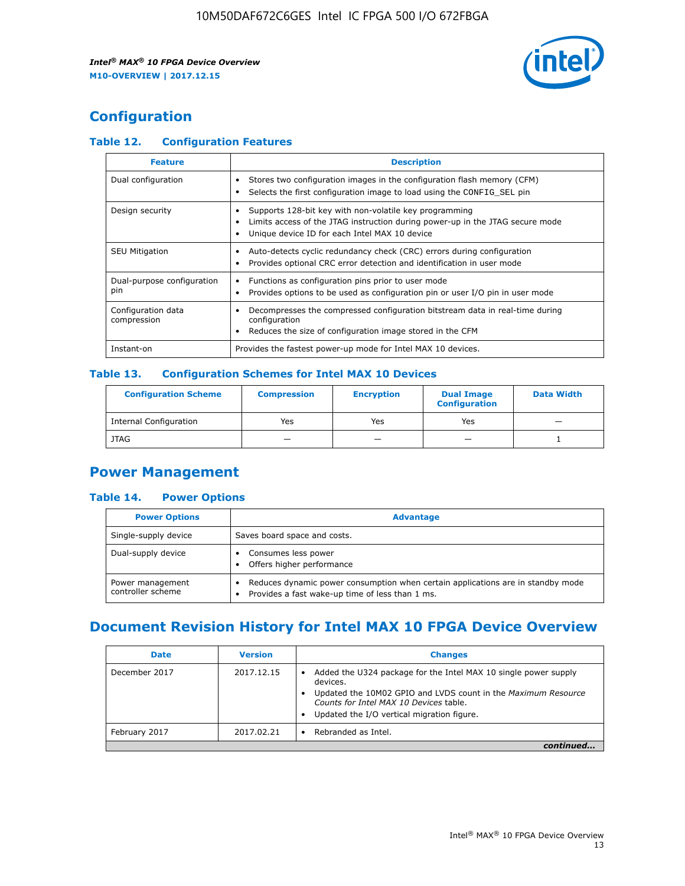

# **Configuration**

## **Table 12. Configuration Features**

| <b>Feature</b>                    | <b>Description</b>                                                                                                                                                                       |
|-----------------------------------|------------------------------------------------------------------------------------------------------------------------------------------------------------------------------------------|
| Dual configuration                | Stores two configuration images in the configuration flash memory (CFM)<br>Selects the first configuration image to load using the CONFIG SEL pin                                        |
| Design security                   | Supports 128-bit key with non-volatile key programming<br>Limits access of the JTAG instruction during power-up in the JTAG secure mode<br>Unique device ID for each Intel MAX 10 device |
| <b>SEU Mitigation</b>             | Auto-detects cyclic redundancy check (CRC) errors during configuration<br>Provides optional CRC error detection and identification in user mode                                          |
| Dual-purpose configuration<br>pin | Functions as configuration pins prior to user mode<br>Provides options to be used as configuration pin or user I/O pin in user mode                                                      |
| Configuration data<br>compression | Decompresses the compressed configuration bitstream data in real-time during<br>configuration<br>Reduces the size of configuration image stored in the CFM                               |
| Instant-on                        | Provides the fastest power-up mode for Intel MAX 10 devices.                                                                                                                             |

## **Table 13. Configuration Schemes for Intel MAX 10 Devices**

| <b>Configuration Scheme</b> | <b>Compression</b> | <b>Encryption</b> | <b>Dual Image</b><br><b>Configuration</b> | <b>Data Width</b> |
|-----------------------------|--------------------|-------------------|-------------------------------------------|-------------------|
| Internal Configuration      | Yes                | Yes               | Yes                                       |                   |
| <b>JTAG</b>                 | _                  |                   | -                                         |                   |

## **Power Management**

## **Table 14. Power Options**

| <b>Power Options</b>                  | <b>Advantage</b>                                                                                                                                |  |
|---------------------------------------|-------------------------------------------------------------------------------------------------------------------------------------------------|--|
| Single-supply device                  | Saves board space and costs.                                                                                                                    |  |
| Dual-supply device                    | Consumes less power<br>Offers higher performance<br>$\bullet$                                                                                   |  |
| Power management<br>controller scheme | Reduces dynamic power consumption when certain applications are in standby mode<br>Provides a fast wake-up time of less than 1 ms.<br>$\bullet$ |  |

# **Document Revision History for Intel MAX 10 FPGA Device Overview**

| <b>Date</b>   | <b>Version</b> | <b>Changes</b>                                                                                                                                                                                                                       |
|---------------|----------------|--------------------------------------------------------------------------------------------------------------------------------------------------------------------------------------------------------------------------------------|
| December 2017 | 2017.12.15     | Added the U324 package for the Intel MAX 10 single power supply<br>devices.<br>Updated the 10M02 GPIO and LVDS count in the Maximum Resource<br>Counts for Intel MAX 10 Devices table.<br>Updated the I/O vertical migration figure. |
| February 2017 | 2017.02.21     | Rebranded as Intel.                                                                                                                                                                                                                  |
|               |                |                                                                                                                                                                                                                                      |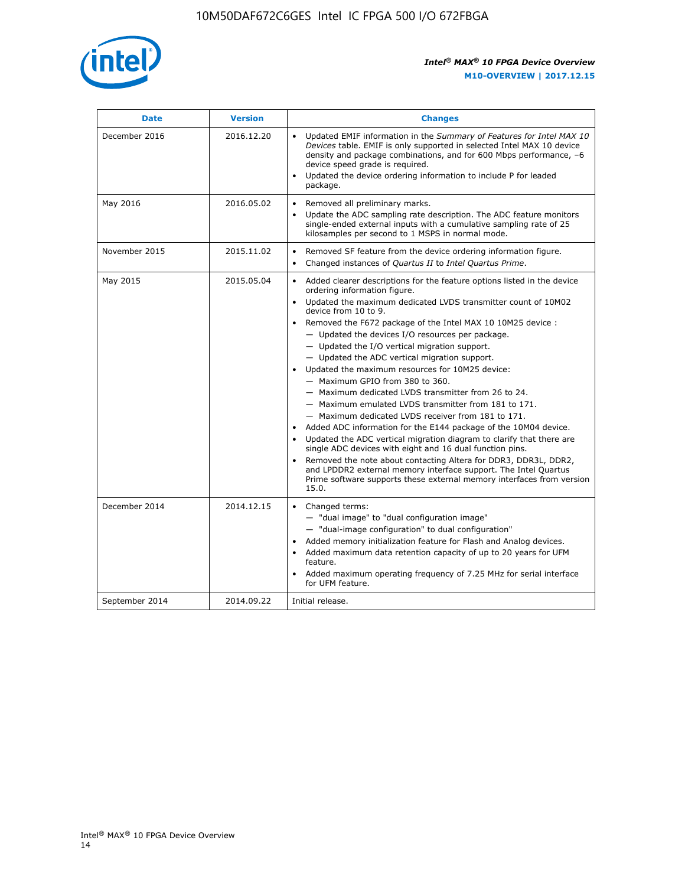

| <b>Date</b>    | <b>Version</b> | <b>Changes</b>                                                                                                                                                                                                                                                                                                                                                                                                                                                                                                                                                                                                                                                                                                                                                                                                                                                                                                                                                                                                                                                                                                  |
|----------------|----------------|-----------------------------------------------------------------------------------------------------------------------------------------------------------------------------------------------------------------------------------------------------------------------------------------------------------------------------------------------------------------------------------------------------------------------------------------------------------------------------------------------------------------------------------------------------------------------------------------------------------------------------------------------------------------------------------------------------------------------------------------------------------------------------------------------------------------------------------------------------------------------------------------------------------------------------------------------------------------------------------------------------------------------------------------------------------------------------------------------------------------|
| December 2016  | 2016.12.20     | • Updated EMIF information in the Summary of Features for Intel MAX 10<br>Devices table. EMIF is only supported in selected Intel MAX 10 device<br>density and package combinations, and for 600 Mbps performance, -6<br>device speed grade is required.<br>Updated the device ordering information to include P for leaded<br>package.                                                                                                                                                                                                                                                                                                                                                                                                                                                                                                                                                                                                                                                                                                                                                                         |
| May 2016       | 2016.05.02     | Removed all preliminary marks.<br>Update the ADC sampling rate description. The ADC feature monitors<br>single-ended external inputs with a cumulative sampling rate of 25<br>kilosamples per second to 1 MSPS in normal mode.                                                                                                                                                                                                                                                                                                                                                                                                                                                                                                                                                                                                                                                                                                                                                                                                                                                                                  |
| November 2015  | 2015.11.02     | Removed SF feature from the device ordering information figure.<br>$\bullet$<br>Changed instances of Quartus II to Intel Quartus Prime.<br>$\bullet$                                                                                                                                                                                                                                                                                                                                                                                                                                                                                                                                                                                                                                                                                                                                                                                                                                                                                                                                                            |
| May 2015       | 2015.05.04     | Added clearer descriptions for the feature options listed in the device<br>ordering information figure.<br>Updated the maximum dedicated LVDS transmitter count of 10M02<br>device from 10 to 9.<br>Removed the F672 package of the Intel MAX 10 10M25 device :<br>- Updated the devices I/O resources per package.<br>- Updated the I/O vertical migration support.<br>- Updated the ADC vertical migration support.<br>Updated the maximum resources for 10M25 device:<br>- Maximum GPIO from 380 to 360.<br>- Maximum dedicated LVDS transmitter from 26 to 24.<br>- Maximum emulated LVDS transmitter from 181 to 171.<br>- Maximum dedicated LVDS receiver from 181 to 171.<br>Added ADC information for the E144 package of the 10M04 device.<br>Updated the ADC vertical migration diagram to clarify that there are<br>single ADC devices with eight and 16 dual function pins.<br>Removed the note about contacting Altera for DDR3, DDR3L, DDR2,<br>and LPDDR2 external memory interface support. The Intel Quartus<br>Prime software supports these external memory interfaces from version<br>15.0. |
| December 2014  | 2014.12.15     | Changed terms:<br>- "dual image" to "dual configuration image"<br>- "dual-image configuration" to dual configuration"<br>Added memory initialization feature for Flash and Analog devices.<br>Added maximum data retention capacity of up to 20 years for UFM<br>feature.<br>Added maximum operating frequency of 7.25 MHz for serial interface<br>for UFM feature.                                                                                                                                                                                                                                                                                                                                                                                                                                                                                                                                                                                                                                                                                                                                             |
| September 2014 | 2014.09.22     | Initial release.                                                                                                                                                                                                                                                                                                                                                                                                                                                                                                                                                                                                                                                                                                                                                                                                                                                                                                                                                                                                                                                                                                |